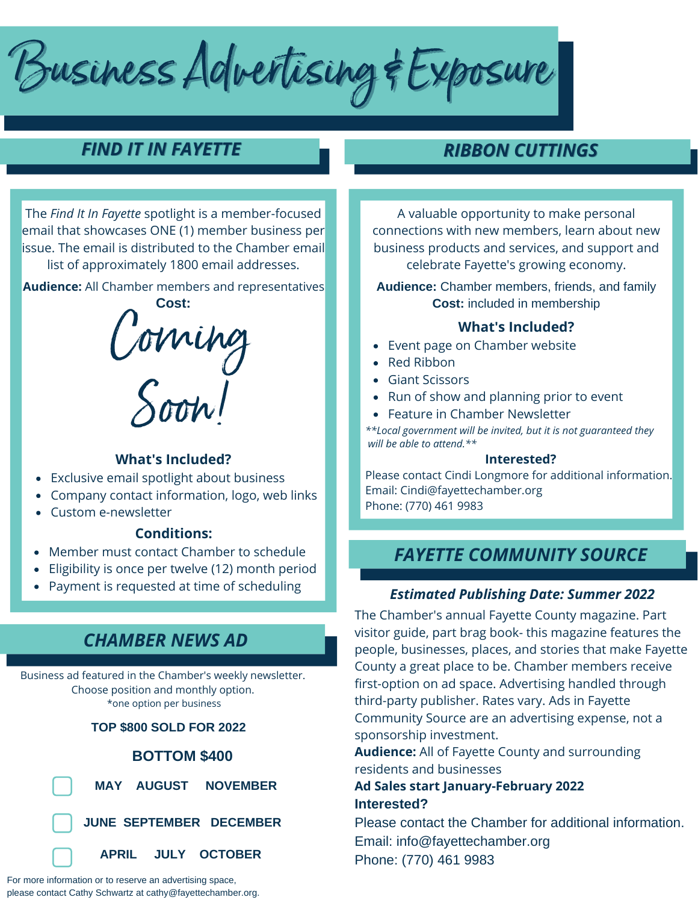Business Advertising & Exposure

## *FIND IT IN FAYETTE*

*RIBBON CUTTINGS*

The *Find It In Fayette* spotlight is a member-focused email that showcases ONE (1) member business per issue. The email is distributed to the Chamber email list of approximately 1800 email addresses.

**Audience:** All Chamber members and representatives



### **What's Included?**

- Exclusive email spotlight about business
- Company contact information, logo, web links
- Custom e-newsletter

## **Conditions:**

- Member must contact Chamber to schedule
- Eligibility is once per twelve (12) month period
- Payment is requested at time of scheduling  $\bullet$

## *CHAMBER NEWS AD*

Business ad featured in the Chamber's weekly newsletter. Choose position and monthly option. \*one option per business

**TOP \$800 SOLD FOR 2022**

### **BOTTOM \$400**



 **MAY AUGUST NOVEMBER**

**JUNE SEPTEMBER DECEMBER**



For more information or to reserve an advertising space, please contact Cathy Schwartz at cathy@fayettechamber.org.

A valuable opportunity to make personal connections with new members, learn about new business products and services, and support and celebrate Fayette's growing economy.

**Audience:** Chamber members, friends, and family **Cost:** included in membership

### **What's Included?**

- Event page on Chamber website
- Red Ribbon
- Giant Scissors
- Run of show and planning prior to event
- Feature in Chamber Newsletter

*\*\*Local government will be invited, but it is not guaranteed they will be able to attend.\*\**

#### **Interested?**

Please contact Cindi Longmore for additional information. Email: Cindi@fayettechamber.org Phone: (770) 461 9983

## *FAYETTE COMMUNITY SOURCE*

## *Estimated Publishing Date: Summer 2022*

The Chamber's annual Fayette County magazine. Part visitor guide, part brag book- this magazine features the people, businesses, places, and stories that make Fayette County a great place to be. Chamber members receive first-option on ad space. Advertising handled through third-party publisher. Rates vary. Ads in Fayette Community Source are an advertising expense, not a sponsorship investment.

**Audience:** All of Fayette County and surrounding residents and businesses

## **Ad Sales start January-February 2022 Interested?**

Please contact the Chamber for additional information. Email: info@fayettechamber.org Phone: (770) 461 9983